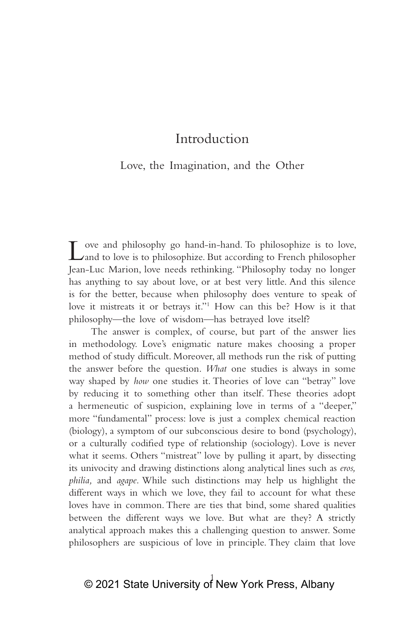## Introduction

### Love, the Imagination, and the Other

 $\Gamma$  ove and philosophy go hand-in-hand. To philosophize is to love, and to love is to philosophize. But according to French philosopher Jean‑Luc Marion, love needs rethinking. "Philosophy today no longer has anything to say about love, or at best very little. And this silence is for the better, because when philosophy does venture to speak of love it mistreats it or betrays it."<sup>1</sup> How can this be? How is it that philosophy—the love of wisdom—has betrayed love itself?

The answer is complex, of course, but part of the answer lies in methodology. Love's enigmatic nature makes choosing a proper method of study difficult. Moreover, all methods run the risk of putting the answer before the question. *What* one studies is always in some way shaped by *how* one studies it. Theories of love can "betray" love by reducing it to something other than itself. These theories adopt a hermeneutic of suspicion, explaining love in terms of a "deeper," more "fundamental" process: love is just a complex chemical reaction (biology), a symptom of our subconscious desire to bond (psychology), or a culturally codified type of relationship (sociology). Love is never what it seems. Others "mistreat" love by pulling it apart, by dissecting its univocity and drawing distinctions along analytical lines such as *eros, philia,* and *agape*. While such distinctions may help us highlight the different ways in which we love, they fail to account for what these loves have in common. There are ties that bind, some shared qualities between the different ways we love. But what are they? A strictly analytical approach makes this a challenging question to answer. Some philosophers are suspicious of love in principle. They claim that love

# © 2021 State University o $\stackrel{1}{\text{I}}$  New York Press, Albany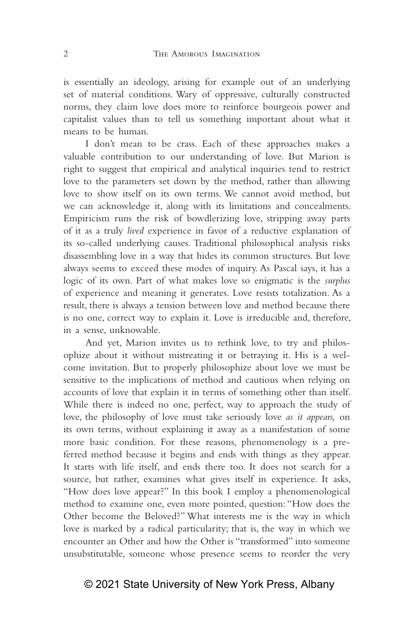is essentially an ideology, arising for example out of an underlying set of material conditions. Wary of oppressive, culturally constructed norms, they claim love does more to reinforce bourgeois power and capitalist values than to tell us something important about what it means to be human.

I don't mean to be crass. Each of these approaches makes a valuable contribution to our understanding of love. But Marion is right to suggest that empirical and analytical inquiries tend to restrict love to the parameters set down by the method, rather than allowing love to show itself on its own terms. We cannot avoid method, but we can acknowledge it, along with its limitations and concealments. Empiricism runs the risk of bowdlerizing love, stripping away parts of it as a truly *lived* experience in favor of a reductive explanation of its so-called underlying causes. Traditional philosophical analysis risks disassembling love in a way that hides its common structures. But love always seems to exceed these modes of inquiry. As Pascal says, it has a logic of its own. Part of what makes love so enigmatic is the *surplus* of experience and meaning it generates. Love resists totalization. As a result, there is always a tension between love and method because there is no one, correct way to explain it. Love is irreducible and, therefore, in a sense, unknowable.

And yet, Marion invites us to rethink love, to try and philosophize about it without mistreating it or betraying it. His is a welcome invitation. But to properly philosophize about love we must be sensitive to the implications of method and cautious when relying on accounts of love that explain it in terms of something other than itself. While there is indeed no one, perfect, way to approach the study of love, the philosophy of love must take seriously love *as it appears,* on its own terms, without explaining it away as a manifestation of some more basic condition. For these reasons, phenomenology is a preferred method because it begins and ends with things as they appear. It starts with life itself, and ends there too. It does not search for a source, but rather, examines what gives itself in experience. It asks, "How does love appear?" In this book I employ a phenomenological method to examine one, even more pointed, question: "How does the Other become the Beloved?" What interests me is the way in which love is marked by a radical particularity; that is, the way in which we encounter an Other and how the Other is "transformed" into someone unsubstitutable, someone whose presence seems to reorder the very

## © 2021 State University of New York Press, Albany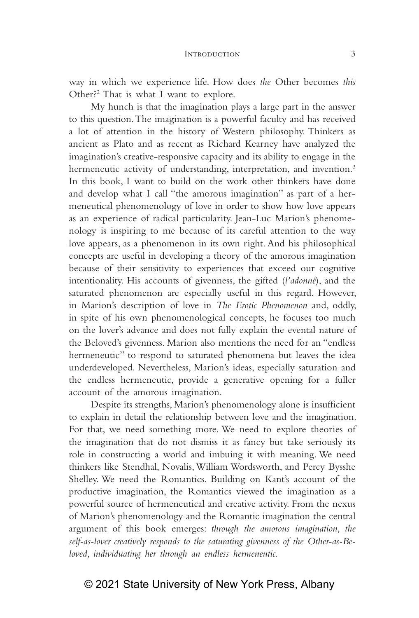way in which we experience life. How does *the* Other becomes *this*  Other?2 That is what I want to explore.

My hunch is that the imagination plays a large part in the answer to this question. The imagination is a powerful faculty and has received a lot of attention in the history of Western philosophy. Thinkers as ancient as Plato and as recent as Richard Kearney have analyzed the imagination's creative‑responsive capacity and its ability to engage in the hermeneutic activity of understanding, interpretation, and invention.<sup>3</sup> In this book, I want to build on the work other thinkers have done and develop what I call "the amorous imagination" as part of a hermeneutical phenomenology of love in order to show how love appears as an experience of radical particularity. Jean-Luc Marion's phenomenology is inspiring to me because of its careful attention to the way love appears, as a phenomenon in its own right. And his philosophical concepts are useful in developing a theory of the amorous imagination because of their sensitivity to experiences that exceed our cognitive intentionality. His accounts of givenness, the gifted (*l'adonné*), and the saturated phenomenon are especially useful in this regard. However, in Marion's description of love in *The Erotic Phenomenon* and, oddly, in spite of his own phenomenological concepts, he focuses too much on the lover's advance and does not fully explain the evental nature of the Beloved's givenness. Marion also mentions the need for an "endless hermeneutic" to respond to saturated phenomena but leaves the idea underdeveloped. Nevertheless, Marion's ideas, especially saturation and the endless hermeneutic, provide a generative opening for a fuller account of the amorous imagination.

Despite its strengths, Marion's phenomenology alone is insufficient to explain in detail the relationship between love and the imagination. For that, we need something more. We need to explore theories of the imagination that do not dismiss it as fancy but take seriously its role in constructing a world and imbuing it with meaning. We need thinkers like Stendhal, Novalis, William Wordsworth, and Percy Bysshe Shelley. We need the Romantics. Building on Kant's account of the productive imagination, the Romantics viewed the imagination as a powerful source of hermeneutical and creative activity. From the nexus of Marion's phenomenology and the Romantic imagination the central argument of this book emerges: *through the amorous imagination, the self‑as‑lover creatively responds to the saturating givenness of the Other‑as‑Be‑ loved, individuating her through an endless hermeneutic.*

#### © 2021 State University of New York Press, Albany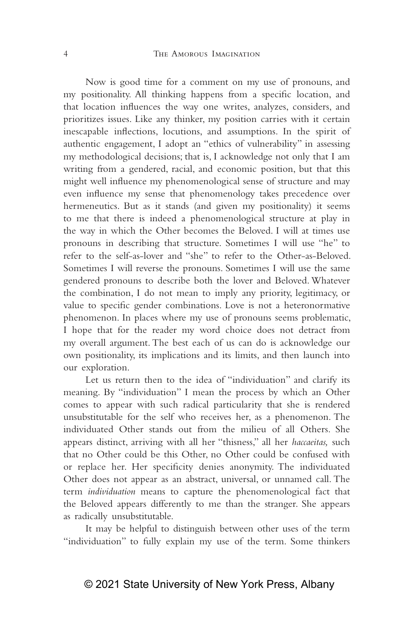Now is good time for a comment on my use of pronouns, and my positionality. All thinking happens from a specific location, and that location influences the way one writes, analyzes, considers, and prioritizes issues. Like any thinker, my position carries with it certain inescapable inflections, locutions, and assumptions. In the spirit of authentic engagement, I adopt an "ethics of vulnerability" in assessing my methodological decisions; that is, I acknowledge not only that I am writing from a gendered, racial, and economic position, but that this might well influence my phenomenological sense of structure and may even influence my sense that phenomenology takes precedence over hermeneutics. But as it stands (and given my positionality) it seems to me that there is indeed a phenomenological structure at play in the way in which the Other becomes the Beloved. I will at times use pronouns in describing that structure. Sometimes I will use "he" to refer to the self-as-lover and "she" to refer to the Other-as-Beloved. Sometimes I will reverse the pronouns. Sometimes I will use the same gendered pronouns to describe both the lover and Beloved. Whatever the combination, I do not mean to imply any priority, legitimacy, or value to specific gender combinations. Love is not a heteronormative phenomenon. In places where my use of pronouns seems problematic, I hope that for the reader my word choice does not detract from my overall argument. The best each of us can do is acknowledge our own positionality, its implications and its limits, and then launch into our exploration.

Let us return then to the idea of "individuation" and clarify its meaning. By "individuation" I mean the process by which an Other comes to appear with such radical particularity that she is rendered unsubstitutable for the self who receives her, as a phenomenon. The individuated Other stands out from the milieu of all Others. She appears distinct, arriving with all her "thisness," all her *haccaeitas,* such that no Other could be this Other, no Other could be confused with or replace her. Her specificity denies anonymity. The individuated Other does not appear as an abstract, universal, or unnamed call. The term *individuation* means to capture the phenomenological fact that the Beloved appears differently to me than the stranger. She appears as radically unsubstitutable.

It may be helpful to distinguish between other uses of the term "individuation" to fully explain my use of the term. Some thinkers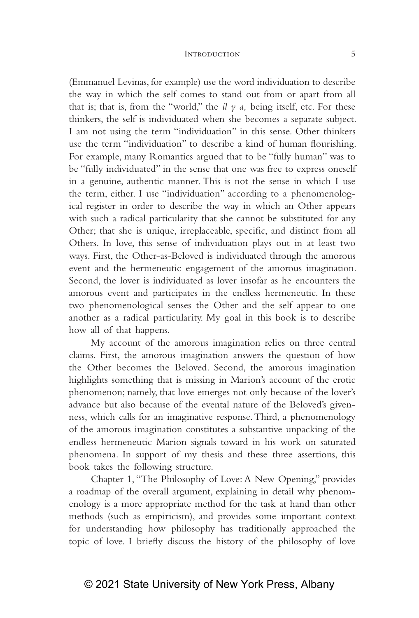#### INTRODUCTION 5

(Emmanuel Levinas, for example) use the word individuation to describe the way in which the self comes to stand out from or apart from all that is; that is, from the "world," the  $il \gamma a$ , being itself, etc. For these thinkers, the self is individuated when she becomes a separate subject. I am not using the term "individuation" in this sense. Other thinkers use the term "individuation" to describe a kind of human flourishing. For example, many Romantics argued that to be "fully human" was to be "fully individuated" in the sense that one was free to express oneself in a genuine, authentic manner. This is not the sense in which I use the term, either. I use "individuation" according to a phenomenological register in order to describe the way in which an Other appears with such a radical particularity that she cannot be substituted for any Other; that she is unique, irreplaceable, specific, and distinct from all Others. In love, this sense of individuation plays out in at least two ways. First, the Other-as-Beloved is individuated through the amorous event and the hermeneutic engagement of the amorous imagination. Second, the lover is individuated as lover insofar as he encounters the amorous event and participates in the endless hermeneutic. In these two phenomenological senses the Other and the self appear to one another as a radical particularity. My goal in this book is to describe how all of that happens.

My account of the amorous imagination relies on three central claims. First, the amorous imagination answers the question of how the Other becomes the Beloved. Second, the amorous imagination highlights something that is missing in Marion's account of the erotic phenomenon; namely, that love emerges not only because of the lover's advance but also because of the evental nature of the Beloved's givenness, which calls for an imaginative response. Third, a phenomenology of the amorous imagination constitutes a substantive unpacking of the endless hermeneutic Marion signals toward in his work on saturated phenomena. In support of my thesis and these three assertions, this book takes the following structure.

Chapter 1, "The Philosophy of Love: A New Opening," provides a roadmap of the overall argument, explaining in detail why phenomenology is a more appropriate method for the task at hand than other methods (such as empiricism), and provides some important context for understanding how philosophy has traditionally approached the topic of love. I briefly discuss the history of the philosophy of love

#### © 2021 State University of New York Press, Albany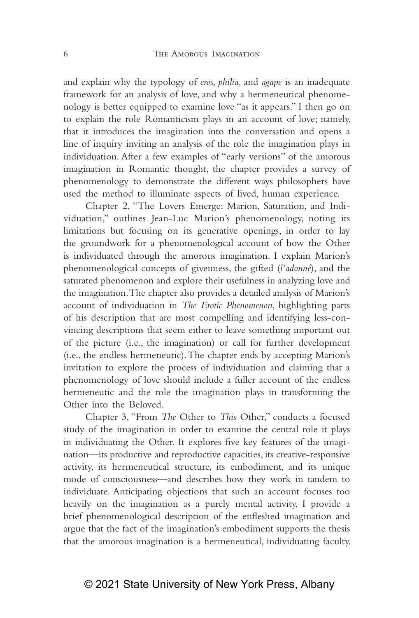and explain why the typology of *eros, philia,* and *agape* is an inadequate framework for an analysis of love, and why a hermeneutical phenomenology is better equipped to examine love "as it appears." I then go on to explain the role Romanticism plays in an account of love; namely, that it introduces the imagination into the conversation and opens a line of inquiry inviting an analysis of the role the imagination plays in individuation. After a few examples of "early versions" of the amorous imagination in Romantic thought, the chapter provides a survey of phenomenology to demonstrate the different ways philosophers have used the method to illuminate aspects of lived, human experience.

Chapter 2, "The Lovers Emerge: Marion, Saturation, and Individuation," outlines Jean‑Luc Marion's phenomenology, noting its limitations but focusing on its generative openings, in order to lay the groundwork for a phenomenological account of how the Other is individuated through the amorous imagination. I explain Marion's phenomenological concepts of givenness, the gifted (*l'adonné*), and the saturated phenomenon and explore their usefulness in analyzing love and the imagination. The chapter also provides a detailed analysis of Marion's account of individuation in *The Erotic Phenomenon*, highlighting parts of his description that are most compelling and identifying less-convincing descriptions that seem either to leave something important out of the picture (i.e., the imagination) or call for further development (i.e., the endless hermeneutic). The chapter ends by accepting Marion's invitation to explore the process of individuation and claiming that a phenomenology of love should include a fuller account of the endless hermeneutic and the role the imagination plays in transforming the Other into the Beloved.

Chapter 3, "From *The* Other to *This* Other," conducts a focused study of the imagination in order to examine the central role it plays in individuating the Other. It explores five key features of the imagination—its productive and reproductive capacities, its creative-responsive activity, its hermeneutical structure, its embodiment, and its unique mode of consciousness—and describes how they work in tandem to individuate. Anticipating objections that such an account focuses too heavily on the imagination as a purely mental activity, I provide a brief phenomenological description of the enfleshed imagination and argue that the fact of the imagination's embodiment supports the thesis that the amorous imagination is a hermeneutical, individuating faculty.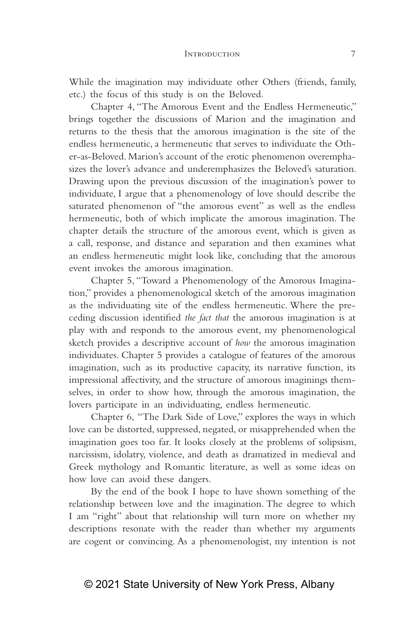#### INTRODUCTION 7

While the imagination may individuate other Others (friends, family, etc.) the focus of this study is on the Beloved.

Chapter 4, "The Amorous Event and the Endless Hermeneutic," brings together the discussions of Marion and the imagination and returns to the thesis that the amorous imagination is the site of the endless hermeneutic, a hermeneutic that serves to individuate the Other-as-Beloved. Marion's account of the erotic phenomenon overemphasizes the lover's advance and underemphasizes the Beloved's saturation. Drawing upon the previous discussion of the imagination's power to individuate, I argue that a phenomenology of love should describe the saturated phenomenon of "the amorous event" as well as the endless hermeneutic, both of which implicate the amorous imagination. The chapter details the structure of the amorous event, which is given as a call, response, and distance and separation and then examines what an endless hermeneutic might look like, concluding that the amorous event invokes the amorous imagination.

Chapter 5, "Toward a Phenomenology of the Amorous Imagination," provides a phenomenological sketch of the amorous imagination as the individuating site of the endless hermeneutic. Where the preceding discussion identified *the fact that* the amorous imagination is at play with and responds to the amorous event, my phenomenological sketch provides a descriptive account of *how* the amorous imagination individuates. Chapter 5 provides a catalogue of features of the amorous imagination, such as its productive capacity, its narrative function, its impressional affectivity, and the structure of amorous imaginings themselves, in order to show how, through the amorous imagination, the lovers participate in an individuating, endless hermeneutic.

Chapter 6, "The Dark Side of Love," explores the ways in which love can be distorted, suppressed, negated, or misapprehended when the imagination goes too far. It looks closely at the problems of solipsism, narcissism, idolatry, violence, and death as dramatized in medieval and Greek mythology and Romantic literature, as well as some ideas on how love can avoid these dangers.

By the end of the book I hope to have shown something of the relationship between love and the imagination. The degree to which I am "right" about that relationship will turn more on whether my descriptions resonate with the reader than whether my arguments are cogent or convincing. As a phenomenologist, my intention is not